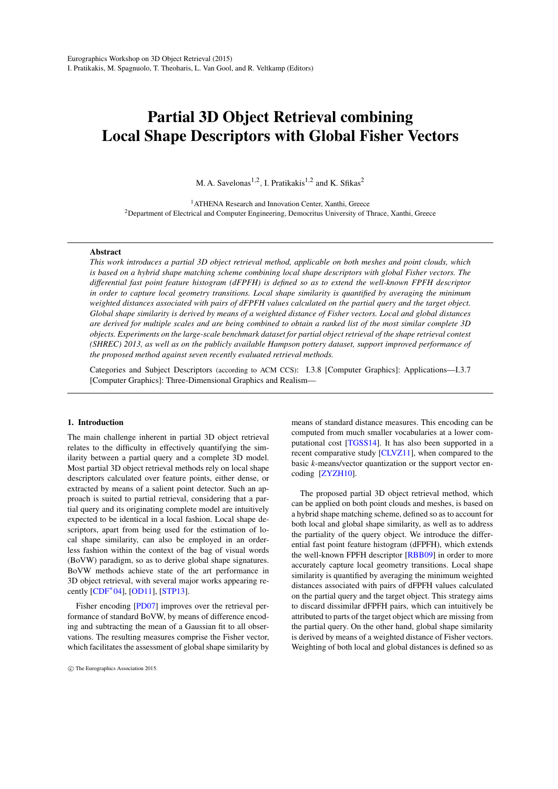# <span id="page-0-0"></span>Partial 3D Object Retrieval combining Local Shape Descriptors with Global Fisher Vectors

M. A. Savelonas<sup>1,2</sup>, I. Pratikakis<sup>1,2</sup> and K. Sfikas<sup>2</sup>

<sup>1</sup> ATHENA Research and Innovation Center, Xanthi, Greece <sup>2</sup>Department of Electrical and Computer Engineering, Democritus University of Thrace, Xanthi, Greece

## Abstract

*This work introduces a partial 3D object retrieval method, applicable on both meshes and point clouds, which is based on a hybrid shape matching scheme combining local shape descriptors with global Fisher vectors. The differential fast point feature histogram (dFPFH) is defined so as to extend the well-known FPFH descriptor in order to capture local geometry transitions. Local shape similarity is quantified by averaging the minimum weighted distances associated with pairs of dFPFH values calculated on the partial query and the target object. Global shape similarity is derived by means of a weighted distance of Fisher vectors. Local and global distances are derived for multiple scales and are being combined to obtain a ranked list of the most similar complete 3D objects. Experiments on the large-scale benchmark dataset for partial object retrieval of the shape retrieval contest (SHREC) 2013, as well as on the publicly available Hampson pottery dataset, support improved performance of the proposed method against seven recently evaluated retrieval methods.*

Categories and Subject Descriptors (according to ACM CCS): I.3.8 [Computer Graphics]: Applications—I.3.7 [Computer Graphics]: Three-Dimensional Graphics and Realism—

## 1. Introduction

The main challenge inherent in partial 3D object retrieval relates to the difficulty in effectively quantifying the similarity between a partial query and a complete 3D model. Most partial 3D object retrieval methods rely on local shape descriptors calculated over feature points, either dense, or extracted by means of a salient point detector. Such an approach is suited to partial retrieval, considering that a partial query and its originating complete model are intuitively expected to be identical in a local fashion. Local shape descriptors, apart from being used for the estimation of local shape similarity, can also be employed in an orderless fashion within the context of the bag of visual words (BoVW) paradigm, so as to derive global shape signatures. BoVW methods achieve state of the art performance in 3D object retrieval, with several major works appearing recently [\[CDF](#page-6-0)<sup>∗</sup> 04], [\[OD11\]](#page-6-1), [\[STP13\]](#page-6-2).

Fisher encoding [\[PD07\]](#page-6-3) improves over the retrieval performance of standard BoVW, by means of difference encoding and subtracting the mean of a Gaussian fit to all observations. The resulting measures comprise the Fisher vector, which facilitates the assessment of global shape similarity by

means of standard distance measures. This encoding can be computed from much smaller vocabularies at a lower computational cost [\[TGSS14\]](#page-6-4). It has also been supported in a recent comparative study [\[CLVZ11\]](#page-6-5), when compared to the basic *k*-means/vector quantization or the support vector encoding [\[ZYZH10\]](#page-6-6).

The proposed partial 3D object retrieval method, which can be applied on both point clouds and meshes, is based on a hybrid shape matching scheme, defined so as to account for both local and global shape similarity, as well as to address the partiality of the query object. We introduce the differential fast point feature histogram (dFPFH), which extends the well-known FPFH descriptor [\[RBB09\]](#page-6-7) in order to more accurately capture local geometry transitions. Local shape similarity is quantified by averaging the minimum weighted distances associated with pairs of dFPFH values calculated on the partial query and the target object. This strategy aims to discard dissimilar dFPFH pairs, which can intuitively be attributed to parts of the target object which are missing from the partial query. On the other hand, global shape similarity is derived by means of a weighted distance of Fisher vectors. Weighting of both local and global distances is defined so as

c The Eurographics Association 2015.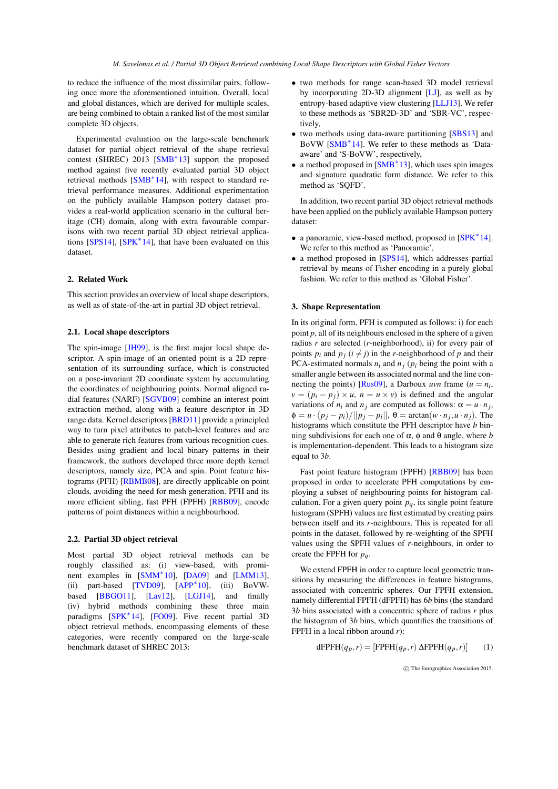<span id="page-1-1"></span>to reduce the influence of the most dissimilar pairs, following once more the aforementioned intuition. Overall, local and global distances, which are derived for multiple scales, are being combined to obtain a ranked list of the most similar complete 3D objects.

Experimental evaluation on the large-scale benchmark dataset for partial object retrieval of the shape retrieval contest (SHREC) 2013 [\[SMB](#page-6-8)<sup>∗</sup> 13] support the proposed method against five recently evaluated partial 3D object retrieval methods [\[SMB](#page-6-9)<sup>\*</sup>14], with respect to standard retrieval performance measures. Additional experimentation on the publicly available Hampson pottery dataset provides a real-world application scenario in the cultural heritage (CH) domain, along with extra favourable comparisons with two recent partial 3D object retrieval applica-tions [\[SPS14\]](#page-6-10), [\[SPK](#page-6-11)<sup>\*</sup>14], that have been evaluated on this dataset.

# 2. Related Work

This section provides an overview of local shape descriptors, as well as of state-of-the-art in partial 3D object retrieval.

# 2.1. Local shape descriptors

The spin-image [\[JH99\]](#page-6-12), is the first major local shape descriptor. A spin-image of an oriented point is a 2D representation of its surrounding surface, which is constructed on a pose-invariant 2D coordinate system by accumulating the coordinates of neighbouring points. Normal aligned radial features (NARF) [\[SGVB09\]](#page-6-13) combine an interest point extraction method, along with a feature descriptor in 3D range data. Kernel descriptors [\[BRD11\]](#page-6-14) provide a principled way to turn pixel attributes to patch-level features and are able to generate rich features from various recognition cues. Besides using gradient and local binary patterns in their framework, the authors developed three more depth kernel descriptors, namely size, PCA and spin. Point feature histograms (PFH) [\[RBMB08\]](#page-6-15), are directly applicable on point clouds, avoiding the need for mesh generation. PFH and its more efficient sibling, fast PFH (FPFH) [\[RBB09\]](#page-6-7), encode patterns of point distances within a neighbourhood.

## 2.2. Partial 3D object retrieval

Most partial 3D object retrieval methods can be roughly classified as: (i) view-based, with promi-nent examples in [\[SMM](#page-6-16)<sup>\*</sup>10], [\[DA09\]](#page-6-17) and [\[LMM13\]](#page-6-18), (ii) part-based [\[TVD09\]](#page-6-19), [\[APP](#page-6-20)<sup>∗</sup> 10], (iii) BoVWbased [\[BBGO11\]](#page-6-21), [\[Lav12\]](#page-6-22), [\[LGJ14\]](#page-6-23), and finally (iv) hybrid methods combining these three main paradigms [\[SPK](#page-6-11)<sup>\*</sup>14], [\[FO09\]](#page-6-24). Five recent partial 3D object retrieval methods, encompassing elements of these categories, were recently compared on the large-scale benchmark dataset of SHREC 2013:

- two methods for range scan-based 3D model retrieval by incorporating 2D-3D alignment [\[LJ\]](#page-6-25), as well as by entropy-based adaptive view clustering [\[LLJ13\]](#page-6-26). We refer to these methods as 'SBR2D-3D' and 'SBR-VC', respectively,
- two methods using data-aware partitioning [\[SBS13\]](#page-6-27) and BoVW [\[SMB](#page-6-9)<sup>∗</sup> 14]. We refer to these methods as 'Dataaware' and 'S-BoVW', respectively,
- a method proposed in [\[SMB](#page-6-8)<sup>∗</sup> 13], which uses spin images and signature quadratic form distance. We refer to this method as 'SQFD'.

In addition, two recent partial 3D object retrieval methods have been applied on the publicly available Hampson pottery dataset:

- a panoramic, view-based method, proposed in [\[SPK](#page-6-11)<sup>∗</sup> 14]. We refer to this method as 'Panoramic',
- a method proposed in [\[SPS14\]](#page-6-10), which addresses partial retrieval by means of Fisher encoding in a purely global fashion. We refer to this method as 'Global Fisher'.

## 3. Shape Representation

In its original form, PFH is computed as follows: i) for each point *p*, all of its neighbours enclosed in the sphere of a given radius *r* are selected (*r*-neighborhood), ii) for every pair of points  $p_i$  and  $p_j$  ( $i \neq j$ ) in the *r*-neighborhood of *p* and their PCA-estimated normals  $n_i$  and  $n_j$  ( $p_i$  being the point with a smaller angle between its associated normal and the line connecting the points) [ $Rus09$ ], a Darboux *uvn* frame ( $u = n_i$ ,  $v = (p_i - p_j) \times u$ ,  $n = u \times v$  is defined and the angular variations of  $n_i$  and  $n_j$  are computed as follows:  $\alpha = u \cdot n_j$ ,  $\phi = u \cdot (p_j - p_i) / ||p_j - p_i||, \ \theta = \arctan(w \cdot n_j, u \cdot n_j).$  The histograms which constitute the PFH descriptor have *b* binning subdivisions for each one of  $\alpha$ ,  $\phi$  and  $\theta$  angle, where *b* is implementation-dependent. This leads to a histogram size equal to 3*b*.

Fast point feature histogram (FPFH) [\[RBB09\]](#page-6-7) has been proposed in order to accelerate PFH computations by employing a subset of neighbouring points for histogram calculation. For a given query point *pq*, its single point feature histogram (SPFH) values are first estimated by creating pairs between itself and its *r*-neighbours. This is repeated for all points in the dataset, followed by re-weighting of the SPFH values using the SPFH values of *r*-neighbours, in order to create the FPFH for *pq*.

We extend FPFH in order to capture local geometric transitions by measuring the differences in feature histograms, associated with concentric spheres. Our FPFH extension, namely differential FPFH (dFPFH) has 6*b* bins (the standard 3*b* bins associated with a concentric sphere of radius *r* plus the histogram of 3*b* bins, which quantifies the transitions of FPFH in a local ribbon around *r*):

$$
dFPFH(q_p, r) = [FPFH(q_p, r) \Delta FPFH(q_p, r)] \qquad (1)
$$

<span id="page-1-0"></span>c The Eurographics Association 2015.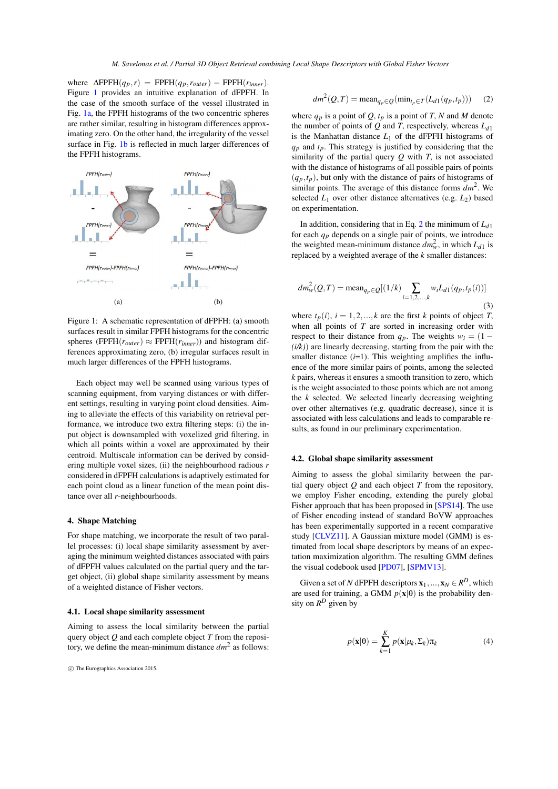<span id="page-2-3"></span>where  $\Delta \text{FPFH}(q_p, r) = \text{FPFH}(q_p, r_{outer}) - \text{FPFH}(r_{inner}).$ Figure [1](#page-2-0) provides an intuitive explanation of dFPFH. In the case of the smooth surface of the vessel illustrated in Fig. [1a,](#page-2-0) the FPFH histograms of the two concentric spheres are rather similar, resulting in histogram differences approximating zero. On the other hand, the irregularity of the vessel surface in Fig. [1b](#page-2-0) is reflected in much larger differences of the FPFH histograms.

<span id="page-2-0"></span>

Figure 1: A schematic representation of dFPFH: (a) smooth surfaces result in similar FPFH histograms for the concentric spheres (FPFH( $r_{outer}$ )  $\approx$  FPFH( $r_{inner}$ )) and histogram differences approximating zero, (b) irregular surfaces result in much larger differences of the FPFH histograms.

Each object may well be scanned using various types of scanning equipment, from varying distances or with different settings, resulting in varying point cloud densities. Aiming to alleviate the effects of this variability on retrieval performance, we introduce two extra filtering steps: (i) the input object is downsampled with voxelized grid filtering, in which all points within a voxel are approximated by their centroid. Multiscale information can be derived by considering multiple voxel sizes, (ii) the neighbourhood radious *r* considered in dFPFH calculations is adaptively estimated for each point cloud as a linear function of the mean point distance over all *r*-neighbourhoods.

# 4. Shape Matching

For shape matching, we incorporate the result of two parallel processes: (i) local shape similarity assessment by averaging the minimum weighted distances associated with pairs of dFPFH values calculated on the partial query and the target object, (ii) global shape similarity assessment by means of a weighted distance of Fisher vectors.

#### 4.1. Local shape similarity assessment

Aiming to assess the local similarity between the partial query object *Q* and each complete object *T* from the repository, we define the mean-minimum distance  $dm^2$  as follows:

<span id="page-2-1"></span>
$$
dm^{2}(Q,T) = \text{mean}_{q_p \in Q}(\text{min}_{t_p \in T}(L_{d1}(q_p, t_p)))
$$
 (2)

where  $q_p$  is a point of  $Q$ ,  $t_p$  is a point of *T*, *N* and *M* denote the number of points of *Q* and *T*, respectively, whereas *Ld*<sup>1</sup> is the Manhattan distance  $L_1$  of the dFPFH histograms of *qp* and *tp*. This strategy is justified by considering that the similarity of the partial query *Q* with *T*, is not associated with the distance of histograms of all possible pairs of points  $(q_p, t_p)$ , but only with the distance of pairs of histograms of similar points. The average of this distance forms *dm*<sup>2</sup> . We selected  $L_1$  over other distance alternatives (e.g.  $L_2$ ) based on experimentation.

In addition, considering that in Eq. [2](#page-2-1) the minimum of *Ld*<sup>1</sup> for each  $q_p$  depends on a single pair of points, we introduce the weighted mean-minimum distance  $dm_w^2$ , in which  $L_{d1}$  is replaced by a weighted average of the *k* smaller distances:

<span id="page-2-2"></span>
$$
dm_w^2(Q,T) = \text{mean}_{q_p \in Q}[(1/k) \sum_{i=1,2,\dots,k} w_i L_{d1}(q_p, t_p(i))]
$$
\n(3)

where  $t_p(i)$ ,  $i = 1, 2, ..., k$  are the first *k* points of object *T*, when all points of *T* are sorted in increasing order with respect to their distance from  $q_p$ . The weights  $w_i = (1 -$ *(i/k)*) are linearly decreasing, starting from the pair with the smaller distance  $(i=1)$ . This weighting amplifies the influence of the more similar pairs of points, among the selected *k* pairs, whereas it ensures a smooth transition to zero, which is the weight associated to those points which are not among the *k* selected. We selected linearly decreasing weighting over other alternatives (e.g. quadratic decrease), since it is associated with less calculations and leads to comparable results, as found in our preliminary experimentation.

## 4.2. Global shape similarity assessment

Aiming to assess the global similarity between the partial query object *Q* and each object *T* from the repository, we employ Fisher encoding, extending the purely global Fisher approach that has been proposed in [\[SPS14\]](#page-6-10). The use of Fisher encoding instead of standard BoVW approaches has been experimentally supported in a recent comparative study [\[CLVZ11\]](#page-6-5). A Gaussian mixture model (GMM) is estimated from local shape descriptors by means of an expectation maximization algorithm. The resulting GMM defines the visual codebook used [\[PD07\]](#page-6-3), [\[SPMV13\]](#page-6-29).

Given a set of *N* dFPFH descriptors  $\mathbf{x}_1, ..., \mathbf{x}_N \in R^D$ , which are used for training, a GMM  $p(x|\theta)$  is the probability density on  $R^D$  given by

$$
p(\mathbf{x}|\boldsymbol{\theta}) = \sum_{k=1}^{K} p(\mathbf{x}|\mu_k, \Sigma_k) \pi_k
$$
 (4)

c The Eurographics Association 2015.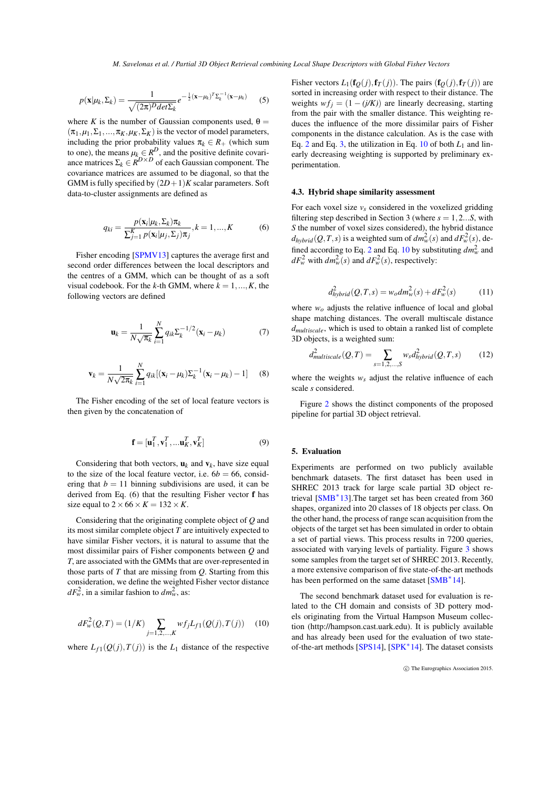<span id="page-3-3"></span>
$$
p(\mathbf{x}|\mu_k, \Sigma_k) = \frac{1}{\sqrt{(2\pi)^D det \Sigma_k}} e^{-\frac{1}{2}(\mathbf{x} - \mu_k)^T \Sigma_k^{-1}(\mathbf{x} - \mu_k)}
$$
(5)

where *K* is the number of Gaussian components used,  $\theta =$  $(\pi_1, \mu_1, \Sigma_1, \ldots, \pi_K, \mu_K, \Sigma_K)$  is the vector of model parameters, including the prior probability values  $\pi_k \in R_+$  (which sum to one), the means  $\mu_k \in R^D$ , and the positive definite covariance matrices  $\Sigma_k \in R^{D \times D}$  of each Gaussian component. The covariance matrices are assumed to be diagonal, so that the GMM is fully specified by  $(2D+1)K$  scalar parameters. Soft data-to-cluster assignments are defined as

$$
q_{ki} = \frac{p(\mathbf{x}_i | \mu_k, \Sigma_k) \pi_k}{\sum_{j=1}^K p(\mathbf{x}_i | \mu_j, \Sigma_j) \pi_j}, k = 1, ..., K
$$
 (6)

Fisher encoding [\[SPMV13\]](#page-6-29) captures the average first and second order differences between the local descriptors and the centres of a GMM, which can be thought of as a soft visual codebook. For the *k*-th GMM, where  $k = 1, ..., K$ , the following vectors are defined

$$
\mathbf{u}_{k} = \frac{1}{N\sqrt{\pi_{k}}} \sum_{i=1}^{N} q_{ik} \Sigma_{k}^{-1/2} (\mathbf{x}_{i} - \mu_{k})
$$
(7)

$$
\mathbf{v}_k = \frac{1}{N\sqrt{2\pi_k}} \sum_{i=1}^N q_{ik} [(\mathbf{x}_i - \mu_k) \Sigma_k^{-1} (\mathbf{x}_i - \mu_k) - 1] \quad (8)
$$

The Fisher encoding of the set of local feature vectors is then given by the concatenation of

$$
\mathbf{f} = [\mathbf{u}_1^T, \mathbf{v}_1^T, \dots \mathbf{u}_K^T, \mathbf{v}_K^T] \tag{9}
$$

Considering that both vectors,  $\mathbf{u}_k$  and  $\mathbf{v}_k$ , have size equal to the size of the local feature vector, i.e.  $6b = 66$ , considering that  $b = 11$  binning subdivisions are used, it can be derived from Eq. (6) that the resulting Fisher vector f has size equal to  $2 \times 66 \times K = 132 \times K$ .

Considering that the originating complete object of *Q* and its most similar complete object *T* are intuitively expected to have similar Fisher vectors, it is natural to assume that the most dissimilar pairs of Fisher components between *Q* and *T*, are associated with the GMMs that are over-represented in those parts of *T* that are missing from *Q*. Starting from this consideration, we define the weighted Fisher vector distance  $dF_w^2$ , in a similar fashion to  $dm_w^2$ , as:

<span id="page-3-0"></span>
$$
dF_w^2(Q,T) = (1/K) \sum_{j=1,2,\dots,K} wf_jL_{f1}(Q(j),T(j)) \quad (10)
$$

where  $L_{f1}(Q(j), T(j))$  is the  $L_1$  distance of the respective

Fisher vectors  $L_1(f_O(j), f_T(j))$ . The pairs  $(f_O(j), f_T(j))$  are sorted in increasing order with respect to their distance. The weights  $wf_i = (1 - (j/K))$  are linearly decreasing, starting from the pair with the smaller distance. This weighting reduces the influence of the more dissimilar pairs of Fisher components in the distance calculation. As is the case with Eq. [2](#page-2-1) and Eq. [3,](#page-2-2) the utilization in Eq. [10](#page-3-0) of both  $L_1$  and linearly decreasing weighting is supported by preliminary experimentation.

# 4.3. Hybrid shape similarity assessment

For each voxel size  $v_s$  considered in the voxelized gridding filtering step described in Section 3 (where  $s = 1, 2...S$ , with *S* the number of voxel sizes considered), the hybrid distance  $d_{hybrid}(Q, T, s)$  is a weighted sum of  $dm_w^2(s)$  and  $dF_w^2(s)$ , de-fined according to Eq. [2](#page-2-1) and Eq. [10](#page-3-0) by substituting  $dm_w^2$  and  $dF_w^2$  with  $dm_w^2(s)$  and  $dF_w^2(s)$ , respectively:

<span id="page-3-2"></span>
$$
d_{hybrid}^2(Q,T,s) = w_o dm_w^2(s) + dF_w^2(s)
$$
 (11)

<span id="page-3-1"></span>where  $w<sub>o</sub>$  adjusts the relative influence of local and global shape matching distances. The overall multiscale distance *dmultiscale*, which is used to obtain a ranked list of complete 3D objects, is a weighted sum:

$$
d_{multiscale}^2(Q,T) = \sum_{s=1,2,\dots,S} w_s d_{hybrid}^2(Q,T,s)
$$
 (12)

where the weights *ws* adjust the relative influence of each scale *s* considered.

Figure [2](#page-4-0) shows the distinct components of the proposed pipeline for partial 3D object retrieval.

## 5. Evaluation

Experiments are performed on two publicly available benchmark datasets. The first dataset has been used in SHREC 2013 track for large scale partial 3D object retrieval [\[SMB](#page-6-8)<sup>∗</sup> 13].The target set has been created from 360 shapes, organized into 20 classes of 18 objects per class. On the other hand, the process of range scan acquisition from the objects of the target set has been simulated in order to obtain a set of partial views. This process results in 7200 queries, associated with varying levels of partiality. Figure [3](#page-4-1) shows some samples from the target set of SHREC 2013. Recently, a more extensive comparison of five state-of-the-art methods has been performed on the same dataset [\[SMB](#page-6-9)<sup>∗</sup>14].

The second benchmark dataset used for evaluation is related to the CH domain and consists of 3D pottery models originating from the Virtual Hampson Museum collection (http://hampson.cast.uark.edu). It is publicly available and has already been used for the evaluation of two state-of-the-art methods [\[SPS14\]](#page-6-10), [\[SPK](#page-6-11)<sup>\*</sup>14]. The dataset consists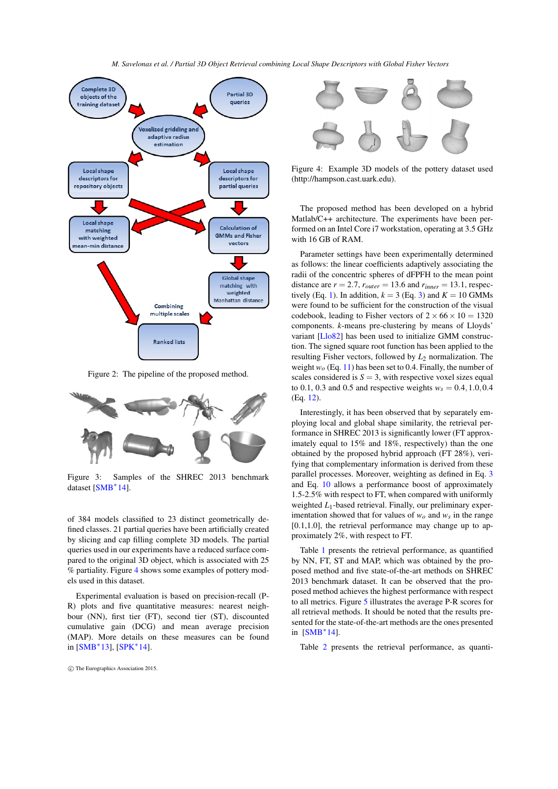*M. Savelonas et al. / Partial 3D Object Retrieval combining Local Shape Descriptors with Global Fisher Vectors*

<span id="page-4-3"></span><span id="page-4-0"></span>

Figure 2: The pipeline of the proposed method.

<span id="page-4-1"></span>

Figure 3: Samples of the SHREC 2013 benchmark dataset [\[SMB](#page-6-9)<sup>\*</sup>14].

of 384 models classified to 23 distinct geometrically defined classes. 21 partial queries have been artificially created by slicing and cap filling complete 3D models. The partial queries used in our experiments have a reduced surface compared to the original 3D object, which is associated with 25 % partiality. Figure [4](#page-4-2) shows some examples of pottery models used in this dataset.

Experimental evaluation is based on precision-recall (P-R) plots and five quantitative measures: nearest neighbour (NN), first tier (FT), second tier (ST), discounted cumulative gain (DCG) and mean average precision (MAP). More details on these measures can be found in [\[SMB](#page-6-8)<sup>∗</sup> 13], [\[SPK](#page-6-11)<sup>∗</sup> 14].



<span id="page-4-2"></span>

Figure 4: Example 3D models of the pottery dataset used (http://hampson.cast.uark.edu).

The proposed method has been developed on a hybrid Matlab/C++ architecture. The experiments have been performed on an Intel Core i7 workstation, operating at 3.5 GHz with 16 GB of RAM.

Parameter settings have been experimentally determined as follows: the linear coefficients adaptively associating the radii of the concentric spheres of dFPFH to the mean point distance are  $r = 2.7$ ,  $r_{outer} = 13.6$  and  $r_{inner} = 13.1$ , respec-tively (Eq. [1\)](#page-1-0). In addition,  $k = 3$  (Eq. [3\)](#page-2-2) and  $K = 10$  GMMs were found to be sufficient for the construction of the visual codebook, leading to Fisher vectors of  $2 \times 66 \times 10 = 1320$ components. *k*-means pre-clustering by means of Lloyds' variant [\[Llo82\]](#page-6-30) has been used to initialize GMM construction. The signed square root function has been applied to the resulting Fisher vectors, followed by  $L_2$  normalization. The weight *wo* (Eq. [11\)](#page-3-1) has been set to 0.4. Finally, the number of scales considered is  $S = 3$ , with respective voxel sizes equal to 0.1, 0.3 and 0.5 and respective weights  $w_s = 0.4, 1.0, 0.4$ (Eq. [12\)](#page-3-2).

Interestingly, it has been observed that by separately employing local and global shape similarity, the retrieval performance in SHREC 2013 is significantly lower (FT approximately equal to 15% and 18%, respectively) than the one obtained by the proposed hybrid approach (FT 28%), verifying that complementary information is derived from these parallel processes. Moreover, weighting as defined in Eq. [3](#page-2-2) and Eq. [10](#page-3-0) allows a performance boost of approximately 1.5-2.5% with respect to FT, when compared with uniformly weighted *L*<sub>1</sub>-based retrieval. Finally, our preliminary experimentation showed that for values of  $w<sub>o</sub>$  and  $w<sub>s</sub>$  in the range  $[0.1,1.0]$ , the retrieval performance may change up to approximately 2%, with respect to FT.

Table [1](#page-5-0) presents the retrieval performance, as quantified by NN, FT, ST and MAP, which was obtained by the proposed method and five state-of-the-art methods on SHREC 2013 benchmark dataset. It can be observed that the proposed method achieves the highest performance with respect to all metrics. Figure [5](#page-7-0) illustrates the average P-R scores for all retrieval methods. It should be noted that the results presented for the state-of-the-art methods are the ones presented in [\[SMB](#page-6-9)<sup>∗</sup> 14].

Table [2](#page-5-1) presents the retrieval performance, as quanti-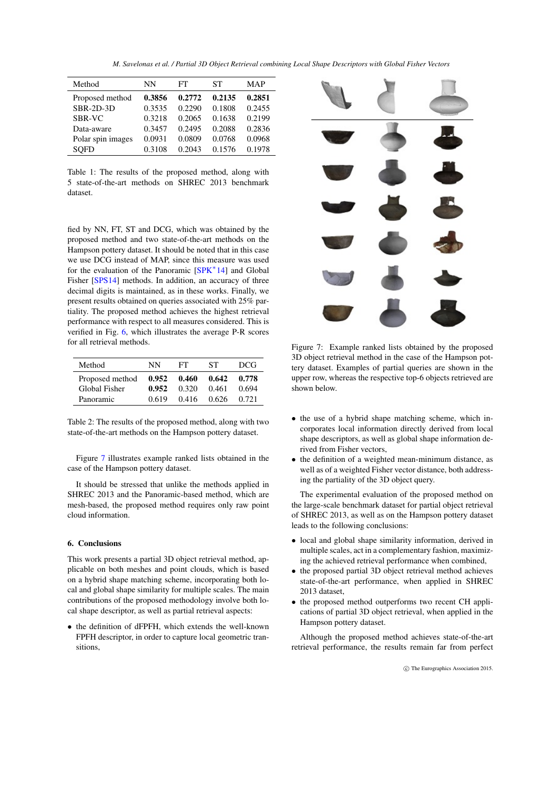*M. Savelonas et al. / Partial 3D Object Retrieval combining Local Shape Descriptors with Global Fisher Vectors*

<span id="page-5-3"></span><span id="page-5-0"></span>

| Method            | NΝ     | FT     | SТ     | MAP    |
|-------------------|--------|--------|--------|--------|
| Proposed method   | 0.3856 | 0.2772 | 0.2135 | 0.2851 |
| $SBR-2D-3D$       | 0.3535 | 0.2290 | 0.1808 | 0.2455 |
| SBR-VC            | 0.3218 | 0.2065 | 0.1638 | 0.2199 |
| Data-aware        | 0.3457 | 0.2495 | 0.2088 | 0.2836 |
| Polar spin images | 0.0931 | 0.0809 | 0.0768 | 0.0968 |
| <b>SQFD</b>       | 0.3108 | 0.2043 | 0.1576 | 0.1978 |

Table 1: The results of the proposed method, along with 5 state-of-the-art methods on SHREC 2013 benchmark dataset.

fied by NN, FT, ST and DCG, which was obtained by the proposed method and two state-of-the-art methods on the Hampson pottery dataset. It should be noted that in this case we use DCG instead of MAP, since this measure was used for the evaluation of the Panoramic [\[SPK](#page-6-11)<sup>\*</sup>14] and Global Fisher [\[SPS14\]](#page-6-10) methods. In addition, an accuracy of three decimal digits is maintained, as in these works. Finally, we present results obtained on queries associated with 25% partiality. The proposed method achieves the highest retrieval performance with respect to all measures considered. This is verified in Fig. [6,](#page-7-1) which illustrates the average P-R scores for all retrieval methods.

<span id="page-5-1"></span>

| Method          | NN    | FГ    | <b>ST</b> | DCG   |
|-----------------|-------|-------|-----------|-------|
| Proposed method | 0.952 | 0.460 | 0.642     | 0.778 |
| Global Fisher   | 0.952 | 0.320 | 0.461     | 0.694 |
| Panoramic       | 0.619 | 0.416 | 0.626     | 0.721 |

Table 2: The results of the proposed method, along with two state-of-the-art methods on the Hampson pottery dataset.

Figure [7](#page-5-2) illustrates example ranked lists obtained in the case of the Hampson pottery dataset.

It should be stressed that unlike the methods applied in SHREC 2013 and the Panoramic-based method, which are mesh-based, the proposed method requires only raw point cloud information.

# 6. Conclusions

This work presents a partial 3D object retrieval method, applicable on both meshes and point clouds, which is based on a hybrid shape matching scheme, incorporating both local and global shape similarity for multiple scales. The main contributions of the proposed methodology involve both local shape descriptor, as well as partial retrieval aspects:

• the definition of dFPFH, which extends the well-known FPFH descriptor, in order to capture local geometric transitions,

<span id="page-5-2"></span>

Figure 7: Example ranked lists obtained by the proposed 3D object retrieval method in the case of the Hampson pottery dataset. Examples of partial queries are shown in the upper row, whereas the respective top-6 objects retrieved are shown below.

- the use of a hybrid shape matching scheme, which incorporates local information directly derived from local shape descriptors, as well as global shape information derived from Fisher vectors,
- the definition of a weighted mean-minimum distance, as well as of a weighted Fisher vector distance, both addressing the partiality of the 3D object query.

The experimental evaluation of the proposed method on the large-scale benchmark dataset for partial object retrieval of SHREC 2013, as well as on the Hampson pottery dataset leads to the following conclusions:

- local and global shape similarity information, derived in multiple scales, act in a complementary fashion, maximizing the achieved retrieval performance when combined,
- the proposed partial 3D object retrieval method achieves state-of-the-art performance, when applied in SHREC 2013 dataset
- the proposed method outperforms two recent CH applications of partial 3D object retrieval, when applied in the Hampson pottery dataset.

Although the proposed method achieves state-of-the-art retrieval performance, the results remain far from perfect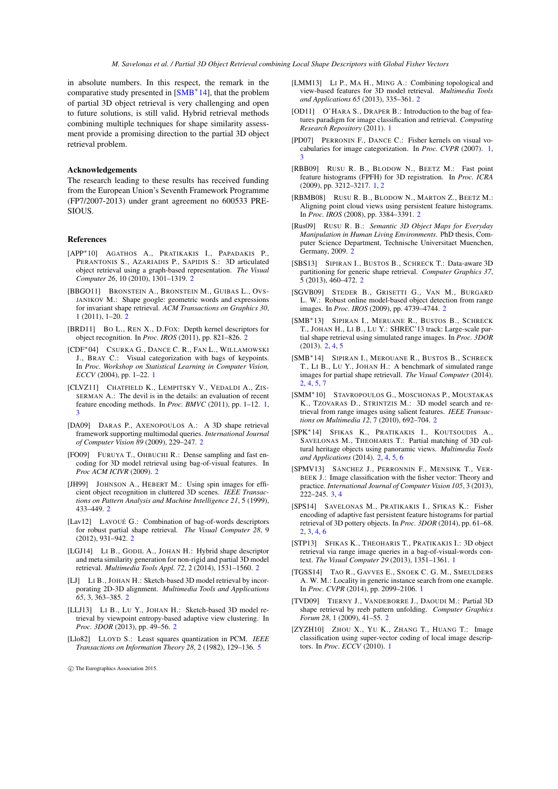<span id="page-6-31"></span>in absolute numbers. In this respect, the remark in the comparative study presented in [\[SMB](#page-6-9)<sup>\*</sup>14], that the problem of partial 3D object retrieval is very challenging and open to future solutions, is still valid. Hybrid retrieval methods combining multiple techniques for shape similarity assessment provide a promising direction to the partial 3D object retrieval problem.

## Acknowledgements

The research leading to these results has received funding from the European Union's Seventh Framework Programme (FP7/2007-2013) under grant agreement no 600533 PRE-SIOUS.

#### References

- <span id="page-6-20"></span>[APP∗10] AGATHOS A., PRATIKAKIS I., PAPADAKIS P., PERANTONIS S., AZARIADIS P., SAPIDIS S.: 3D articulated object retrieval using a graph-based representation. *The Visual Computer 26*, 10 (2010), 1301–1319. [2](#page-1-1)
- <span id="page-6-21"></span>[BBGO11] BRONSTEIN A., BRONSTEIN M., GUIBAS L., OVS-JANIKOV M.: Shape google: geometric words and expressions for invariant shape retrieval. *ACM Transactions on Graphics 30*, 1 (2011), 1–20. [2](#page-1-1)
- <span id="page-6-14"></span>[BRD11] BO L., REN X., D.FOX: Depth kernel descriptors for object recognition. In *Proc. IROS* (2011), pp. 821–826. [2](#page-1-1)
- <span id="page-6-0"></span>[CDF∗04] CSURKA G., DANCE C. R., FAN L., WILLAMOWSKI J., BRAY C.: Visual categorization with bags of keypoints. In *Proc. Workshop on Statistical Learning in Computer Vision, ECCV* (2004), pp. 1–22. [1](#page-0-0)
- <span id="page-6-5"></span>[CLVZ11] CHATFIELD K., LEMPITSKY V., VEDALDI A., ZIS-SERMAN A.: The devil is in the details: an evaluation of recent feature encoding methods. In *Proc. BMVC* (2011), pp. 1–12. [1,](#page-0-0) [3](#page-2-3)
- <span id="page-6-17"></span>[DA09] DARAS P., AXENOPOULOS A.: A 3D shape retrieval framework supporting multimodal queries. *International Journal of Computer Vision 89* (2009), 229–247. [2](#page-1-1)
- <span id="page-6-24"></span>[FO09] FURUYA T., OHBUCHI R.: Dense sampling and fast encoding for 3D model retrieval using bag-of-visual features. In *Proc ACM ICIVR* (2009). [2](#page-1-1)
- <span id="page-6-12"></span>[JH99] JOHNSON A., HEBERT M.: Using spin images for efficient object recognition in cluttered 3D scenes. *IEEE Transactions on Pattern Analysis and Machine Intelligence 21*, 5 (1999), 433–449. [2](#page-1-1)
- <span id="page-6-22"></span>[Lav12] LAVOUÉ G.: Combination of bag-of-words descriptors for robust partial shape retrieval. *The Visual Computer 28*, 9 (2012), 931–942. [2](#page-1-1)
- <span id="page-6-23"></span>[LGJ14] LI B., GODIL A., JOHAN H.: Hybrid shape descriptor and meta similarity generation for non-rigid and partial 3D model retrieval. *Multimedia Tools Appl. 72*, 2 (2014), 1531–1560. [2](#page-1-1)
- <span id="page-6-25"></span>[LJ] LI B., JOHAN H.: Sketch-based 3D model retrieval by incorporating 2D-3D alignment. *Multimedia Tools and Applications 65*, 3, 363–385. [2](#page-1-1)
- <span id="page-6-26"></span>[LLJ13] LI B., LU Y., JOHAN H.: Sketch-based 3D model retrieval by viewpoint entropy-based adaptive view clustering. In *Proc. 3DOR* (2013), pp. 49–56. [2](#page-1-1)
- <span id="page-6-30"></span>[Llo82] LLOYD S.: Least squares quantization in PCM. *IEEE Transactions on Information Theory 28*, 2 (1982), 129–136. [5](#page-4-3)

c The Eurographics Association 2015.

- <span id="page-6-18"></span>[LMM13] LI P., MA H., MING A.: Combining topological and view-based features for 3D model retrieval. *Multimedia Tools and Applications 65* (2013), 335–361. [2](#page-1-1)
- <span id="page-6-1"></span>[OD11] O'HARA S., DRAPER B.: Introduction to the bag of features paradigm for image classification and retrieval. *Computing Research Repository* (2011). [1](#page-0-0)
- <span id="page-6-3"></span>[PD07] PERRONIN F., DANCE C.: Fisher kernels on visual vocabularies for image categorization. In *Proc. CVPR* (2007). [1,](#page-0-0) [3](#page-2-3)
- <span id="page-6-7"></span>[RBB09] RUSU R. B., BLODOW N., BEETZ M.: Fast point feature histograms (FPFH) for 3D registration. In *Proc. ICRA* (2009), pp. 3212–3217. [1,](#page-0-0) [2](#page-1-1)
- <span id="page-6-15"></span>[RBMB08] RUSU R. B., BLODOW N., MARTON Z., BEETZ M.: Aligning point cloud views using persistent feature histograms. In *Proc. IROS* (2008), pp. 3384–3391. [2](#page-1-1)
- <span id="page-6-28"></span>[Rus09] RUSU R. B.: *Semantic 3D Object Maps for Everyday Manipulation in Human Living Environments*. PhD thesis, Computer Science Department, Technische Universitaet Muenchen, Germany, 2009. [2](#page-1-1)
- <span id="page-6-27"></span>[SBS13] SIPIRAN I., BUSTOS B., SCHRECK T.: Data-aware 3D partitioning for generic shape retrieval. *Computer Graphics 37*, 5 (2013), 460–472. [2](#page-1-1)
- <span id="page-6-13"></span>[SGVB09] STEDER B., GRISETTI G., VAN M., BURGARD L. W.: Robust online model-based object detection from range images. In *Proc. IROS* (2009), pp. 4739–4744. [2](#page-1-1)
- <span id="page-6-8"></span>[SMB∗13] SIPIRAN I., MERUANE R., BUSTOS B., SCHRECK T., JOHAN H., LI B., LU Y.: SHREC'13 track: Large-scale partial shape retrieval using simulated range images. In *Proc. 3DOR* (2013). [2,](#page-1-1) [4,](#page-3-3) [5](#page-4-3)
- <span id="page-6-9"></span>[SMB∗14] SIPIRAN I., MEROUANE R., BUSTOS B., SCHRECK T., LI B., LU Y., JOHAN H.: A benchmark of simulated range images for partial shape retrievall. *The Visual Computer* (2014).  $2, 4, 5, 7$  $2, 4, 5, 7$  $2, 4, 5, 7$  $2, 4, 5, 7$  $2, 4, 5, 7$  $2, 4, 5, 7$  $2, 4, 5, 7$
- <span id="page-6-16"></span>[SMM∗10] STAVROPOULOS G., MOSCHONAS P., MOUSTAKAS K., TZOVARAS D., STRINTZIS M.: 3D model search and retrieval from range images using salient features. *IEEE Transactions on Multimedia 12*, 7 (2010), 692–704. [2](#page-1-1)
- <span id="page-6-11"></span>[SPK∗14] SFIKAS K., PRATIKAKIS I., KOUTSOUDIS A., SAVELONAS M., THEOHARIS T.: Partial matching of 3D cultural heritage objects using panoramic views. *Multimedia Tools and Applications* (2014). [2,](#page-1-1) [4,](#page-3-3) [5,](#page-4-3) [6](#page-5-3)
- <span id="page-6-29"></span>[SPMV13] SÁNCHEZ J., PERRONNIN F., MENSINK T., VER-BEEK J.: Image classification with the fisher vector: Theory and practice. *International Journal of Computer Vision 105*, 3 (2013),  $222 - 245$  $222 - 245$  $222 - 245$ , [3,](#page-2-3) 4
- <span id="page-6-10"></span>[SPS14] SAVELONAS M., PRATIKAKIS I., SFIKAS K.: Fisher encoding of adaptive fast persistent feature histograms for partial retrieval of 3D pottery objects. In *Proc. 3DOR* (2014), pp. 61–68. [2,](#page-1-1) [3,](#page-2-3) [4,](#page-3-3) [6](#page-5-3)
- <span id="page-6-2"></span>[STP13] SFIKAS K., THEOHARIS T., PRATIKAKIS I.: 3D object retrieval via range image queries in a bag-of-visual-words context. *The Visual Computer 29* (2013), 1351–1361. [1](#page-0-0)
- <span id="page-6-4"></span>[TGSS14] TAO R., GAVVES E., SNOEK C. G. M., SMEULDERS A. W. M.: Locality in generic instance search from one example. In *Proc. CVPR* (2014), pp. 2099–2106. [1](#page-0-0)
- <span id="page-6-19"></span>[TVD09] TIERNY J., VANDEBORRE J., DAOUDI M.: Partial 3D shape retrieval by reeb pattern unfolding. *Computer Graphics Forum 28*, 1 (2009), 41–55. [2](#page-1-1)
- <span id="page-6-6"></span>[ZYZH10] ZHOU X., YU K., ZHANG T., HUANG T.: Image classification using super-vector coding of local image descriptors. In *Proc. ECCV* (2010). [1](#page-0-0)